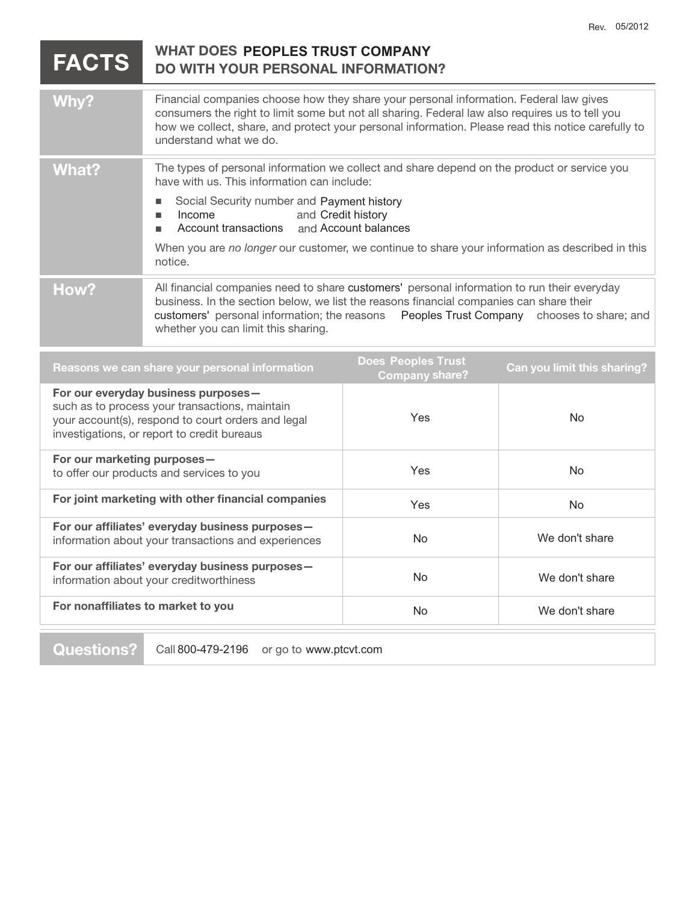| <b>FACTS</b> | <b>WHAT DOES PEOPLES TRUST COMPANY</b><br><b>DO WITH YOUR PERSONAL INFORMATION?</b>                                                                                                                                                                                                                                                                                                      |  |
|--------------|------------------------------------------------------------------------------------------------------------------------------------------------------------------------------------------------------------------------------------------------------------------------------------------------------------------------------------------------------------------------------------------|--|
| Why?         | Financial companies choose how they share your personal information. Federal law gives<br>consumers the right to limit some but not all sharing. Federal law also requires us to tell you<br>how we collect, share, and protect your personal information. Please read this notice carefully to<br>understand what we do.                                                                |  |
| <b>What?</b> | The types of personal information we collect and share depend on the product or service you<br>have with us. This information can include:<br>Social Security number and Payment history<br>and Credit history<br>Income<br>٠<br>Account transactions and Account balances<br>When you are no longer our customer, we continue to share your information as described in this<br>notice. |  |
| How?         | All financial companies need to share customers' personal information to run their everyday<br>business. In the section below, we list the reasons financial companies can share their<br>customers' personal information; the reasons  Peoples Trust Company  chooses to share; and<br>whether you can limit this sharing.                                                              |  |
|              | <b>Does Peoples Trust</b><br>Can you limit this sharing?<br>Reasons we can share your personal information<br><b>Company share?</b>                                                                                                                                                                                                                                                      |  |

|                                                                                                                                                                                            | <b>Company snare?</b> |                |
|--------------------------------------------------------------------------------------------------------------------------------------------------------------------------------------------|-----------------------|----------------|
| For our everyday business purposes-<br>such as to process your transactions, maintain<br>your account(s), respond to court orders and legal<br>investigations, or report to credit bureaus | Yes                   | No.            |
| For our marketing purposes-<br>to offer our products and services to you                                                                                                                   | Yes                   | No.            |
| For joint marketing with other financial companies                                                                                                                                         | Yes                   | No.            |
| For our affiliates' everyday business purposes-<br>information about your transactions and experiences                                                                                     | No.                   | We don't share |
| For our affiliates' everyday business purposes-<br>information about your creditworthiness                                                                                                 | No.                   | We don't share |
| For nonaffiliates to market to you                                                                                                                                                         | N <sub>o</sub>        | We don't share |
|                                                                                                                                                                                            |                       |                |

**Questions?** Call 800-479-2196 or go to www.ptcvt.com